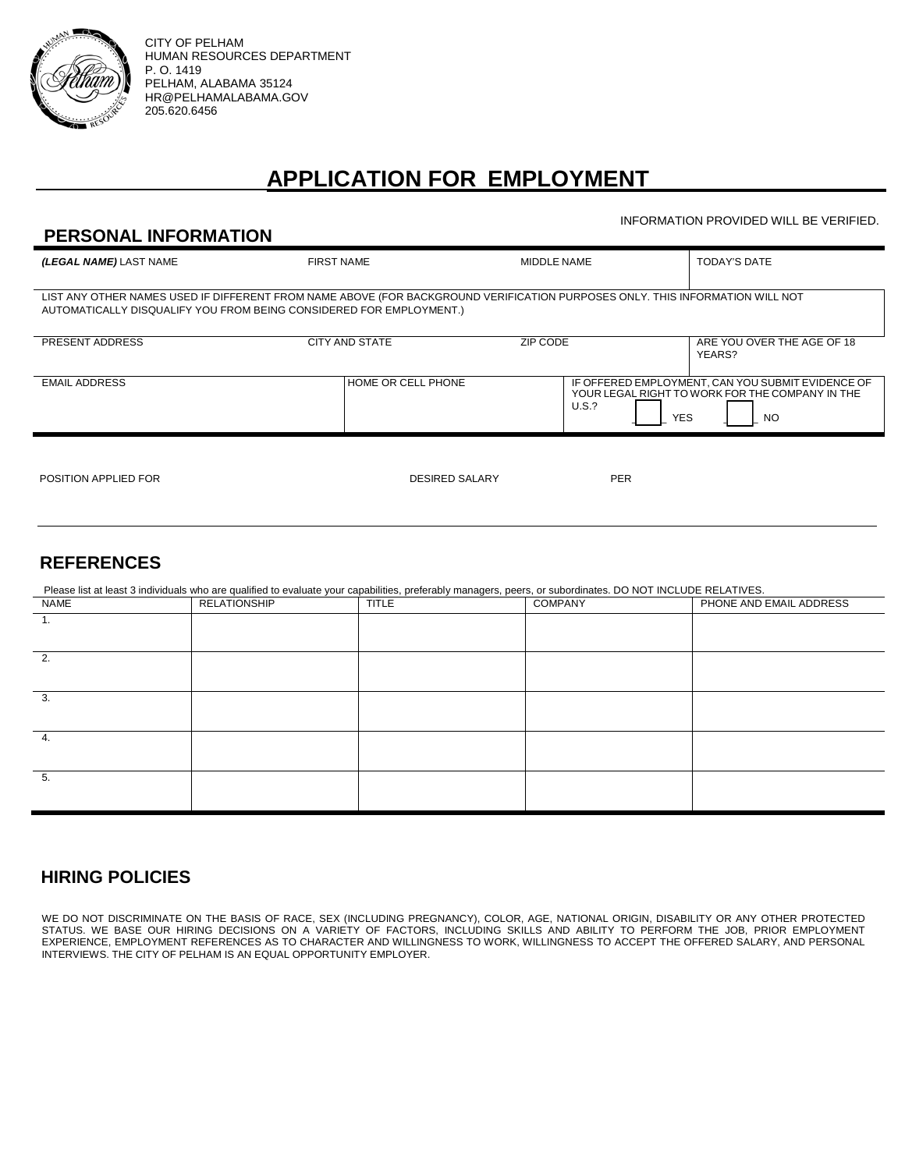

CITY OF PELHAM HUMAN RESOURCES DEPARTMENT P. O. 1419 PELHAM, ALABAMA 35124 HR@PELHAMALABAMA.GOV 205.620.6456

# **APPLICATION FOR EMPLOYMENT**

INFORMATION PROVIDED WILL BE VERIFIED.

| <b>PERSONAL INFORMATION</b>                                                                                                                                                                         |                       |             |                                                                                                                             |                                      |  |  |
|-----------------------------------------------------------------------------------------------------------------------------------------------------------------------------------------------------|-----------------------|-------------|-----------------------------------------------------------------------------------------------------------------------------|--------------------------------------|--|--|
| (LEGAL NAME) LAST NAME                                                                                                                                                                              | <b>FIRST NAME</b>     | MIDDLE NAME |                                                                                                                             | <b>TODAY'S DATE</b>                  |  |  |
| LIST ANY OTHER NAMES USED IF DIFFERENT FROM NAME ABOVE (FOR BACKGROUND VERIFICATION PURPOSES ONLY. THIS INFORMATION WILL NOT<br>AUTOMATICALLY DISQUALIFY YOU FROM BEING CONSIDERED FOR EMPLOYMENT.) |                       |             |                                                                                                                             |                                      |  |  |
| PRESENT ADDRESS                                                                                                                                                                                     | <b>CITY AND STATE</b> | ZIP CODE    |                                                                                                                             | ARE YOU OVER THE AGE OF 18<br>YEARS? |  |  |
| <b>EMAIL ADDRESS</b>                                                                                                                                                                                | HOME OR CELL PHONE    |             | IF OFFERED EMPLOYMENT, CAN YOU SUBMIT EVIDENCE OF<br>YOUR LEGAL RIGHT TO WORK FOR THE COMPANY IN THE<br>U.S.?<br>YES<br>NO. |                                      |  |  |
| POSITION APPLIED FOR                                                                                                                                                                                | <b>DESIRED SALARY</b> |             | <b>PER</b>                                                                                                                  |                                      |  |  |

## **REFERENCES**

| Please list at least 3 individuals who are qualified to evaluate your capabilities, preferably managers, peers, or subordinates. DO NOT INCLUDE RELATIVES. |                     |              |                |                         |  |  |  |
|------------------------------------------------------------------------------------------------------------------------------------------------------------|---------------------|--------------|----------------|-------------------------|--|--|--|
| NAME                                                                                                                                                       | <b>RELATIONSHIP</b> | <b>TITLE</b> | <b>COMPANY</b> | PHONE AND EMAIL ADDRESS |  |  |  |
| 1.                                                                                                                                                         |                     |              |                |                         |  |  |  |
|                                                                                                                                                            |                     |              |                |                         |  |  |  |
| 2.                                                                                                                                                         |                     |              |                |                         |  |  |  |
|                                                                                                                                                            |                     |              |                |                         |  |  |  |
| 3.                                                                                                                                                         |                     |              |                |                         |  |  |  |
|                                                                                                                                                            |                     |              |                |                         |  |  |  |
| 4.                                                                                                                                                         |                     |              |                |                         |  |  |  |
|                                                                                                                                                            |                     |              |                |                         |  |  |  |
| 5.                                                                                                                                                         |                     |              |                |                         |  |  |  |
|                                                                                                                                                            |                     |              |                |                         |  |  |  |

## **HIRING POLICIES**

WE DO NOT DISCRIMINATE ON THE BASIS OF RACE, SEX (INCLUDING PREGNANCY), COLOR, AGE, NATIONAL ORIGIN, DISABILITY OR ANY OTHER PROTECTED STATUS. WE BASE OUR HIRING DECISIONS ON A VARIETY OF FACTORS, INCLUDING SKILLS AND ABILITY TO PERFORM THE JOB, PRIOR EMPLOYMENT EXPERIENCE, EMPLOYMENT REFERENCES AS TO CHARACTER AND WILLINGNESS TO WORK, WILLINGNESS TO ACCEPT THE OFFERED SALARY, AND PERSONAL INTERVIEWS. THE CITY OF PELHAM IS AN EQUAL OPPORTUNITY EMPLOYER.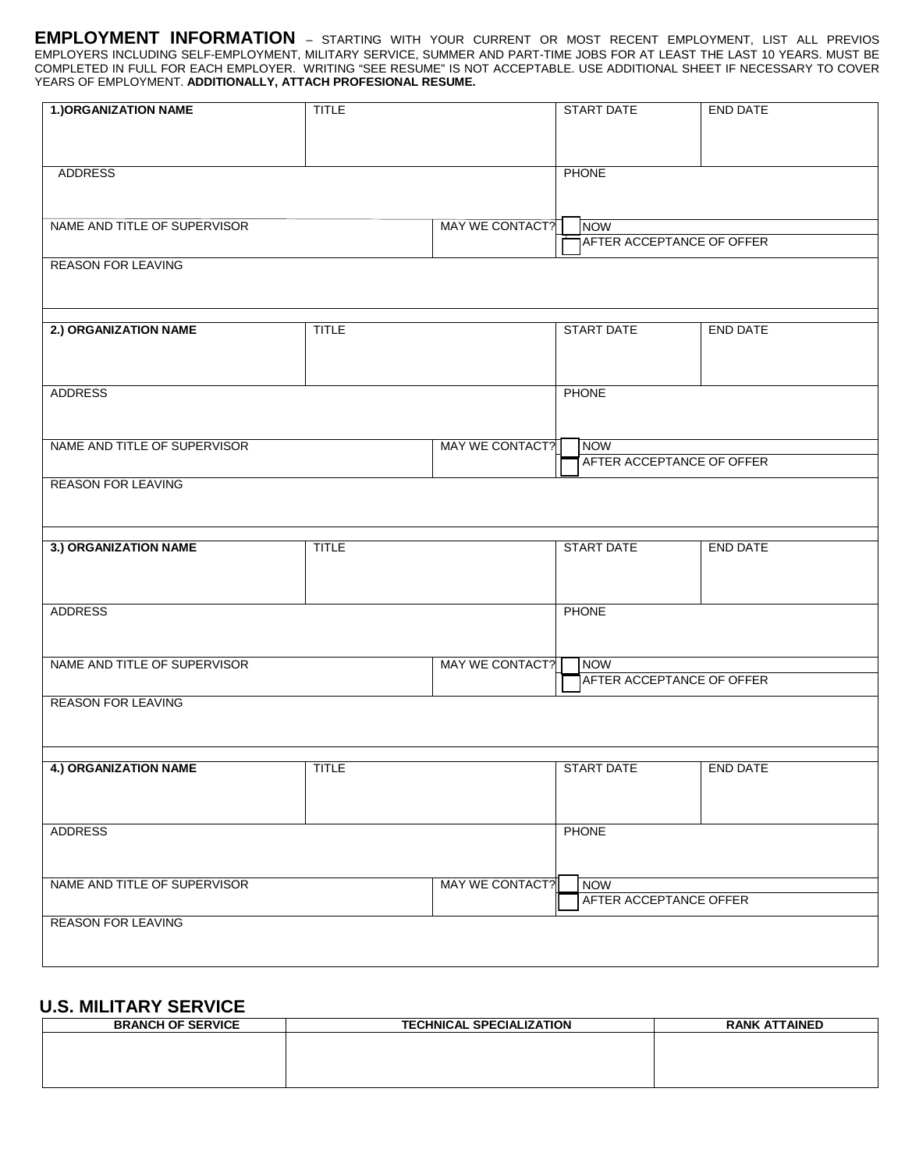**EMPLOYMENT INFORMATION** *–* STARTING WITH YOUR CURRENT OR MOST RECENT EMPLOYMENT, LIST ALL PREVIOS EMPLOYERS INCLUDING SELF-EMPLOYMENT, MILITARY SERVICE, SUMMER AND PART-TIME JOBS FOR AT LEAST THE LAST 10 YEARS. MUST BE COMPLETED IN FULL FOR EACH EMPLOYER. WRITING "SEE RESUME" IS NOT ACCEPTABLE. USE ADDITIONAL SHEET IF NECESSARY TO COVER YEARS OF EMPLOYMENT. **ADDITIONALLY, ATTACH PROFESIONAL RESUME.**

| <b>1.) ORGANIZATION NAME</b>                           | <b>TITLE</b> |                 |                        | <b>START DATE</b>                | <b>END DATE</b> |  |  |
|--------------------------------------------------------|--------------|-----------------|------------------------|----------------------------------|-----------------|--|--|
|                                                        |              |                 |                        |                                  |                 |  |  |
|                                                        |              |                 |                        |                                  |                 |  |  |
| <b>ADDRESS</b>                                         |              | PHONE           |                        |                                  |                 |  |  |
|                                                        |              |                 |                        |                                  |                 |  |  |
| NAME AND TITLE OF SUPERVISOR                           |              | MAY WE CONTACT? |                        | <b>NOW</b>                       |                 |  |  |
|                                                        |              |                 |                        | AFTER ACCEPTANCE OF OFFER        |                 |  |  |
| <b>REASON FOR LEAVING</b>                              |              |                 |                        |                                  |                 |  |  |
|                                                        |              |                 |                        |                                  |                 |  |  |
| 2.) ORGANIZATION NAME                                  |              |                 |                        | <b>START DATE</b>                |                 |  |  |
|                                                        | <b>TITLE</b> |                 |                        |                                  | <b>END DATE</b> |  |  |
|                                                        |              |                 |                        |                                  |                 |  |  |
| <b>ADDRESS</b>                                         |              |                 | <b>PHONE</b>           |                                  |                 |  |  |
|                                                        |              |                 |                        |                                  |                 |  |  |
|                                                        |              |                 |                        |                                  |                 |  |  |
| NAME AND TITLE OF SUPERVISOR                           |              | MAY WE CONTACT? |                        | NOW<br>AFTER ACCEPTANCE OF OFFER |                 |  |  |
| <b>REASON FOR LEAVING</b>                              |              |                 |                        |                                  |                 |  |  |
|                                                        |              |                 |                        |                                  |                 |  |  |
|                                                        |              |                 |                        |                                  |                 |  |  |
| 3.) ORGANIZATION NAME                                  | <b>TITLE</b> |                 | <b>START DATE</b>      |                                  | <b>END DATE</b> |  |  |
|                                                        |              |                 |                        |                                  |                 |  |  |
|                                                        |              |                 |                        |                                  |                 |  |  |
| <b>ADDRESS</b>                                         |              |                 | PHONE                  |                                  |                 |  |  |
|                                                        |              |                 |                        |                                  |                 |  |  |
| NAME AND TITLE OF SUPERVISOR<br><b>MAY WE CONTACT?</b> |              |                 | <b>NOW</b>             |                                  |                 |  |  |
|                                                        |              |                 |                        | AFTER ACCEPTANCE OF OFFER        |                 |  |  |
| <b>REASON FOR LEAVING</b>                              |              |                 |                        |                                  |                 |  |  |
|                                                        |              |                 |                        |                                  |                 |  |  |
| <b>4.) ORGANIZATION NAME</b>                           | <b>TITLE</b> |                 |                        | <b>START DATE</b>                | END DATE        |  |  |
|                                                        |              |                 |                        |                                  |                 |  |  |
|                                                        |              |                 |                        |                                  |                 |  |  |
| ADDRESS                                                |              |                 | <b>PHONE</b>           |                                  |                 |  |  |
|                                                        |              |                 |                        |                                  |                 |  |  |
| NAME AND TITLE OF SUPERVISOR                           |              | MAY WE CONTACT? |                        | <b>NOW</b>                       |                 |  |  |
|                                                        |              |                 | AFTER ACCEPTANCE OFFER |                                  |                 |  |  |
| <b>REASON FOR LEAVING</b>                              |              |                 |                        |                                  |                 |  |  |
|                                                        |              |                 |                        |                                  |                 |  |  |
|                                                        |              |                 |                        |                                  |                 |  |  |

#### **U.S. MILITARY SERVICE**

| <b>BRANCH OF SERVICE</b> | <b>TECHNICAL SPECIALIZATION</b> | <b>RANK ATTAINED</b> |  |  |
|--------------------------|---------------------------------|----------------------|--|--|
|                          |                                 |                      |  |  |
|                          |                                 |                      |  |  |
|                          |                                 |                      |  |  |
|                          |                                 |                      |  |  |